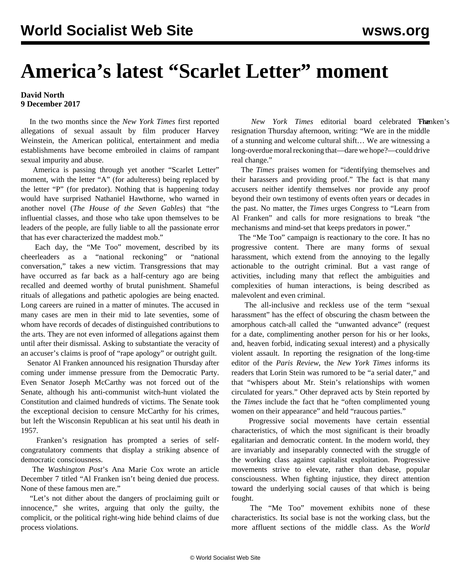## **America's latest "Scarlet Letter" moment**

## **David North 9 December 2017**

 In the two months since the *New York Times* first reported allegations of sexual assault by film producer Harvey Weinstein, the American political, entertainment and media establishments have become embroiled in claims of rampant sexual impurity and abuse.

 America is passing through yet another "Scarlet Letter" moment, with the letter "A" (for adulteress) being replaced by the letter "P" (for predator). Nothing that is happening today would have surprised Nathaniel Hawthorne, who warned in another novel (*The House of the Seven Gables*) that "the influential classes, and those who take upon themselves to be leaders of the people, are fully liable to all the passionate error that has ever characterized the maddest mob."

 Each day, the "Me Too" movement, described by its cheerleaders as a "national reckoning" or "national conversation," takes a new victim. Transgressions that may have occurred as far back as a half-century ago are being recalled and deemed worthy of brutal punishment. Shameful rituals of allegations and pathetic apologies are being enacted. Long careers are ruined in a matter of minutes. The accused in many cases are men in their mid to late seventies, some of whom have records of decades of distinguished contributions to the arts. They are not even informed of allegations against them until after their dismissal. Asking to substantiate the veracity of an accuser's claims is proof of "rape apology" or outright guilt.

 Senator Al Franken announced his resignation Thursday after coming under immense pressure from the Democratic Party. Even Senator Joseph McCarthy was not forced out of the Senate, although his anti-communist witch-hunt violated the Constitution and claimed hundreds of victims. The Senate took the exceptional decision to censure McCarthy for his crimes, but left the Wisconsin Republican at his seat until his death in 1957.

 Franken's resignation has prompted a series of selfcongratulatory comments that display a striking absence of democratic consciousness.

 The *Washington Post*'s Ana Marie Cox wrote an article December 7 titled "Al Franken isn't being denied due process. None of these famous men are."

 "Let's not dither about the dangers of proclaiming guilt or innocence," she writes, arguing that only the guilty, the complicit, or the political right-wing hide behind claims of due process violations.

New York Times editorial board celebrated Fhanken's resignation Thursday afternoon, writing: "We are in the middle of a stunning and welcome cultural shift… We are witnessing a long-overdue moral reckoning that—dare we hope?—could drive real change."

 The *Times* praises women for "identifying themselves and their harassers and providing proof." The fact is that many accusers neither identify themselves nor provide any proof beyond their own testimony of events often years or decades in the past. No matter, the *Times* urges Congress to "Learn from Al Franken" and calls for more resignations to break "the mechanisms and mind-set that keeps predators in power."

 The "Me Too" campaign is reactionary to the core. It has no progressive content. There are many forms of sexual harassment, which extend from the annoying to the legally actionable to the outright criminal. But a vast range of activities, including many that reflect the ambiguities and complexities of human interactions, is being described as malevolent and even criminal.

 The all-inclusive and reckless use of the term "sexual harassment" has the effect of obscuring the chasm between the amorphous catch-all called the "unwanted advance" (request for a date, complimenting another person for his or her looks, and, heaven forbid, indicating sexual interest) and a physically violent assault. In reporting the resignation of the long-time editor of the *Paris Review*, the *New York Times* informs its readers that Lorin Stein was rumored to be "a serial dater," and that "whispers about Mr. Stein's relationships with women circulated for years." Other depraved acts by Stein reported by the *Times* include the fact that he "often complimented young women on their appearance" and held "raucous parties."

 Progressive social movements have certain essential characteristics, of which the most significant is their broadly egalitarian and democratic content. In the modern world, they are invariably and inseparably connected with the struggle of the working class against capitalist exploitation. Progressive movements strive to elevate, rather than debase, popular consciousness. When fighting injustice, they direct attention toward the underlying social causes of that which is being fought.

 The "Me Too" movement exhibits none of these characteristics. Its social base is not the working class, but the more affluent sections of the middle class. As the *World*